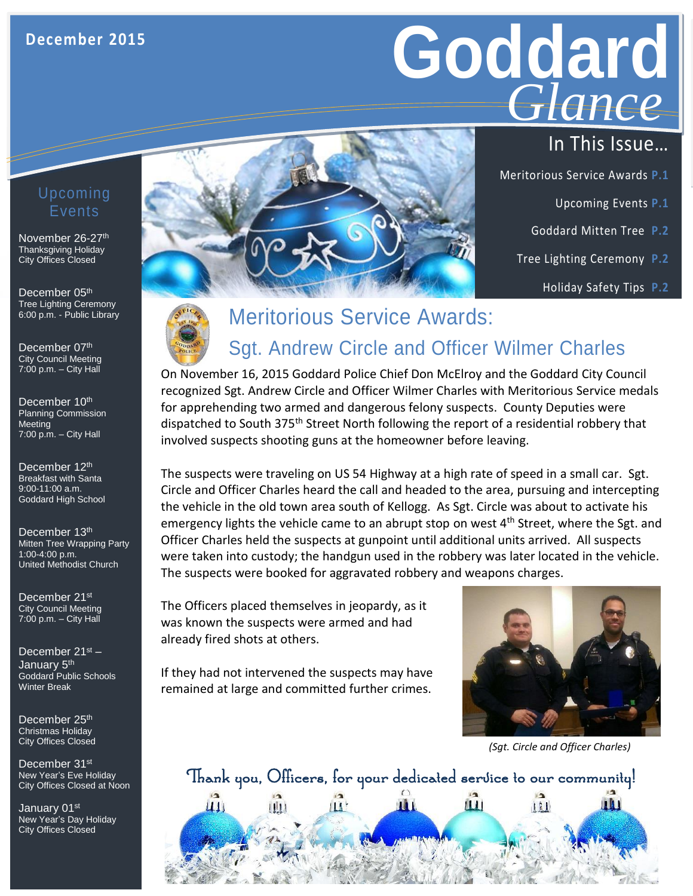# **Goddard GLANCE** *Glance*

- Meritorious Service Awards **P.1**
	- Upcoming Events **P.1**
	- Goddard Mitten Tree **P.2**
	- Tree Lighting Ceremony **P.2**
		- Holiday Safety Tips **P.2**

### Upcoming Events

November 26-27th Thanksgiving Holiday City Offices Closed

December 05<sup>th</sup> Tree Lighting Ceremony 6:00 p.m. - Public Library

December 07th City Council Meeting 7:00 p.m. – City Hall

December 10<sup>th</sup> Planning Commission **Meeting** 7:00 p.m. – City Hall

9:00-11:00 a.m.<br>Goddard High School December 12th Breakfast with Santa 9:00-11:00 a.m.

December 13<sup>th</sup> **Mitten Tree Wrapping Party** 1:00-4:00 p.m. United Methodist Church

December 21<sup>st</sup> City Council Meeting 7:00 p.m. – City Hall

December 21st – January 5<sup>th</sup> Goddard Public Schools Winter Break

December 25<sup>th</sup> Christmas Holiday City Offices Closed

December 31<sup>st</sup> New Year's Eve Holiday City Offices Closed at Noon

January 01<sup>st</sup> New Year's Day Holiday City Offices Closed



### Meritorious Service Awards: Sgt. Andrew Circle and Officer Wilmer Charles

On November 16, 2015 Goddard Police Chief Don McElroy and the Goddard City Council recognized Sgt. Andrew Circle and Officer Wilmer Charles with Meritorious Service medals for apprehending two armed and dangerous felony suspects. County Deputies were dispatched to South 375<sup>th</sup> Street North following the report of a residential robbery that involved suspects shooting guns at the homeowner before leaving.

The suspects were traveling on US 54 Highway at a high rate of speed in a small car. Sgt. Circle and Officer Charles heard the call and headed to the area, pursuing and intercepting the vehicle in the old town area south of Kellogg. As Sgt. Circle was about to activate his emergency lights the vehicle came to an abrupt stop on west  $4<sup>th</sup>$  Street, where the Sgt. and Officer Charles held the suspects at gunpoint until additional units arrived. All suspects were taken into custody; the handgun used in the robbery was later located in the vehicle. The suspects were booked for aggravated robbery and weapons charges.

The Officers placed themselves in jeopardy, as it was known the suspects were armed and had already fired shots at others.

If they had not intervened the suspects may have remained at large and committed further crimes.



*(Sgt. Circle and Officer Charles)*